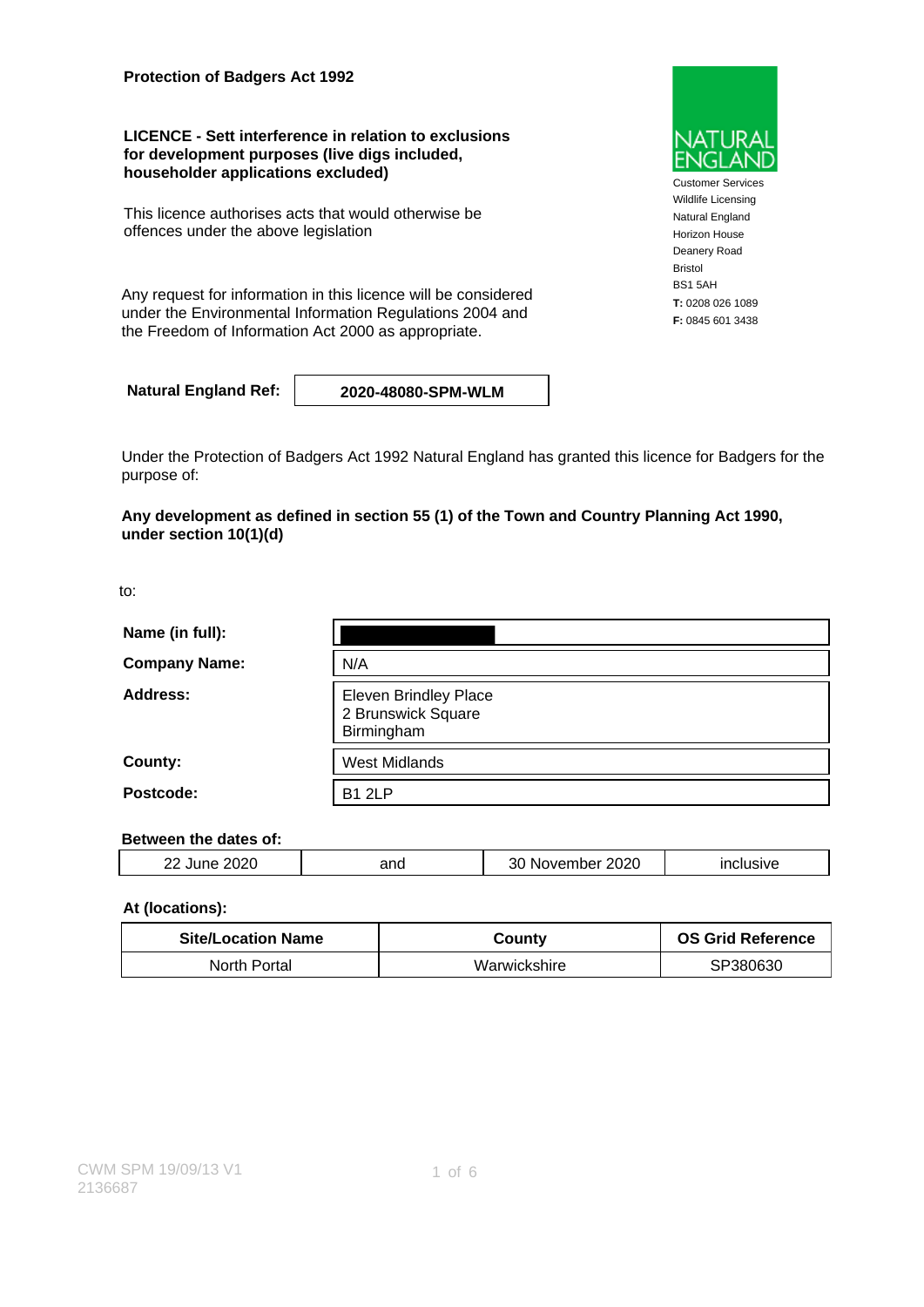**Protection of Badgers Act 1992**

**LICENCE - Sett interference in relation to exclusions for development purposes (live digs included, householder applications excluded)**

This licence authorises acts that would otherwise be offences under the above legislation

Any request for information in this licence will be considered under the Environmental Information Regulations 2004 and the Freedom of Information Act 2000 as appropriate.

**Natural England Ref: 2020-48080-SPM-WLM**

Under the Protection of Badgers Act 1992 Natural England has granted this licence for Badgers for the purpose of:

**Any development as defined in section 55 (1) of the Town and Country Planning Act 1990, under section 10(1)(d)**

to:

| Name (in full):      |                                                                  |  |
|----------------------|------------------------------------------------------------------|--|
| <b>Company Name:</b> | N/A                                                              |  |
| Address:             | <b>Eleven Brindley Place</b><br>2 Brunswick Square<br>Birmingham |  |
| County:              | <b>West Midlands</b>                                             |  |
| Postcode:            | <b>B1 2LP</b>                                                    |  |

### **Between the dates of:**

| $\sim$ $\sim$ $\sim$<br>n r<br>. .<br>___<br>___ | ำทน<br>$ -$ | 2020<br>50.<br>ıм<br>___ | _____ |
|--------------------------------------------------|-------------|--------------------------|-------|
|                                                  |             |                          |       |

### **At (locations):**

| <b>Site/Location Name</b> | County       | <b>OS Grid Reference</b> |
|---------------------------|--------------|--------------------------|
| North Portal              | Warwickshire | SP380630                 |

Customer Services Wildlife Licensing Natural England Horizon House Deanery Road Bristol BS1 5AH **T:** 0208 026 1089 **F:** 0845 601 3438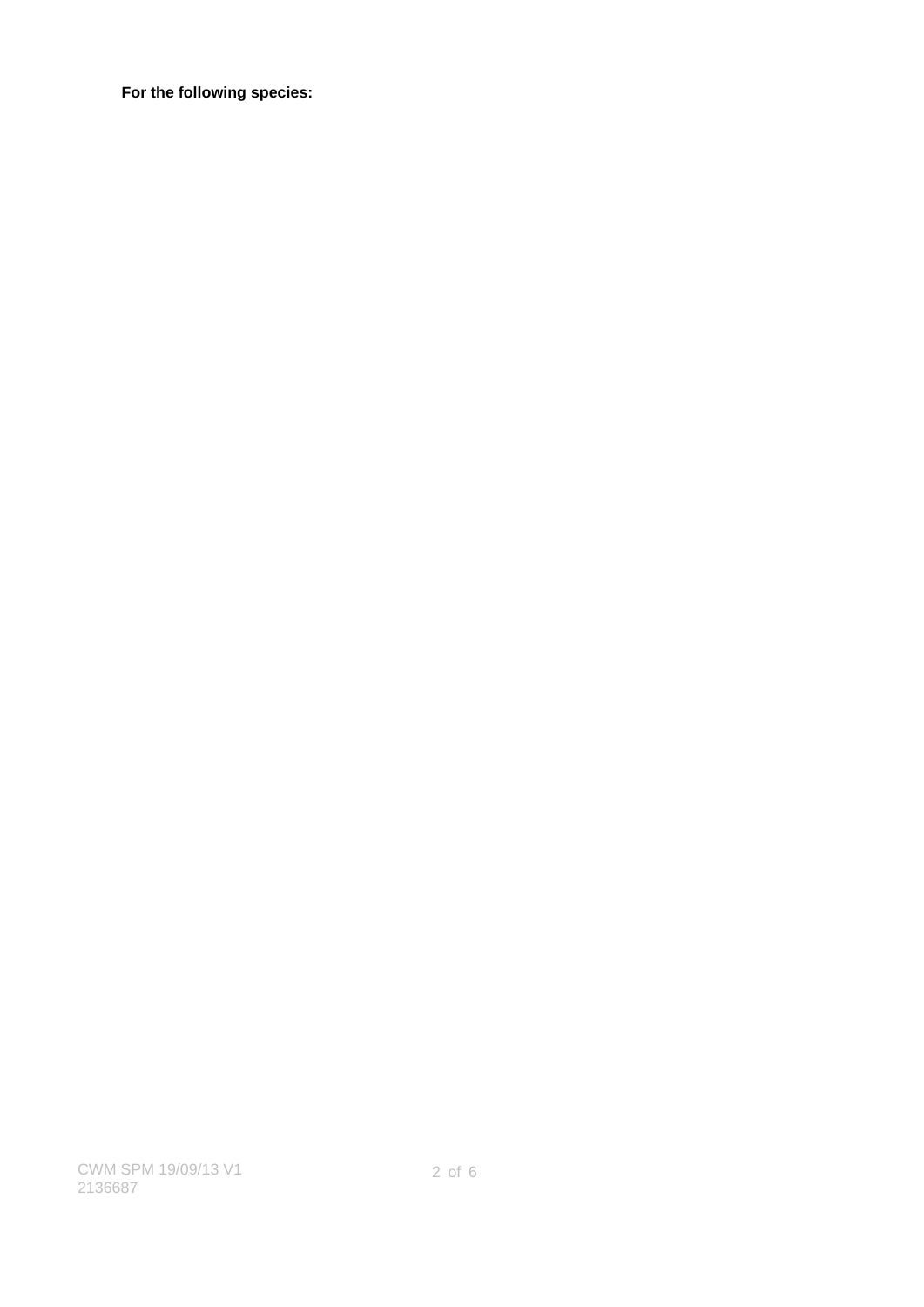**For the following species:**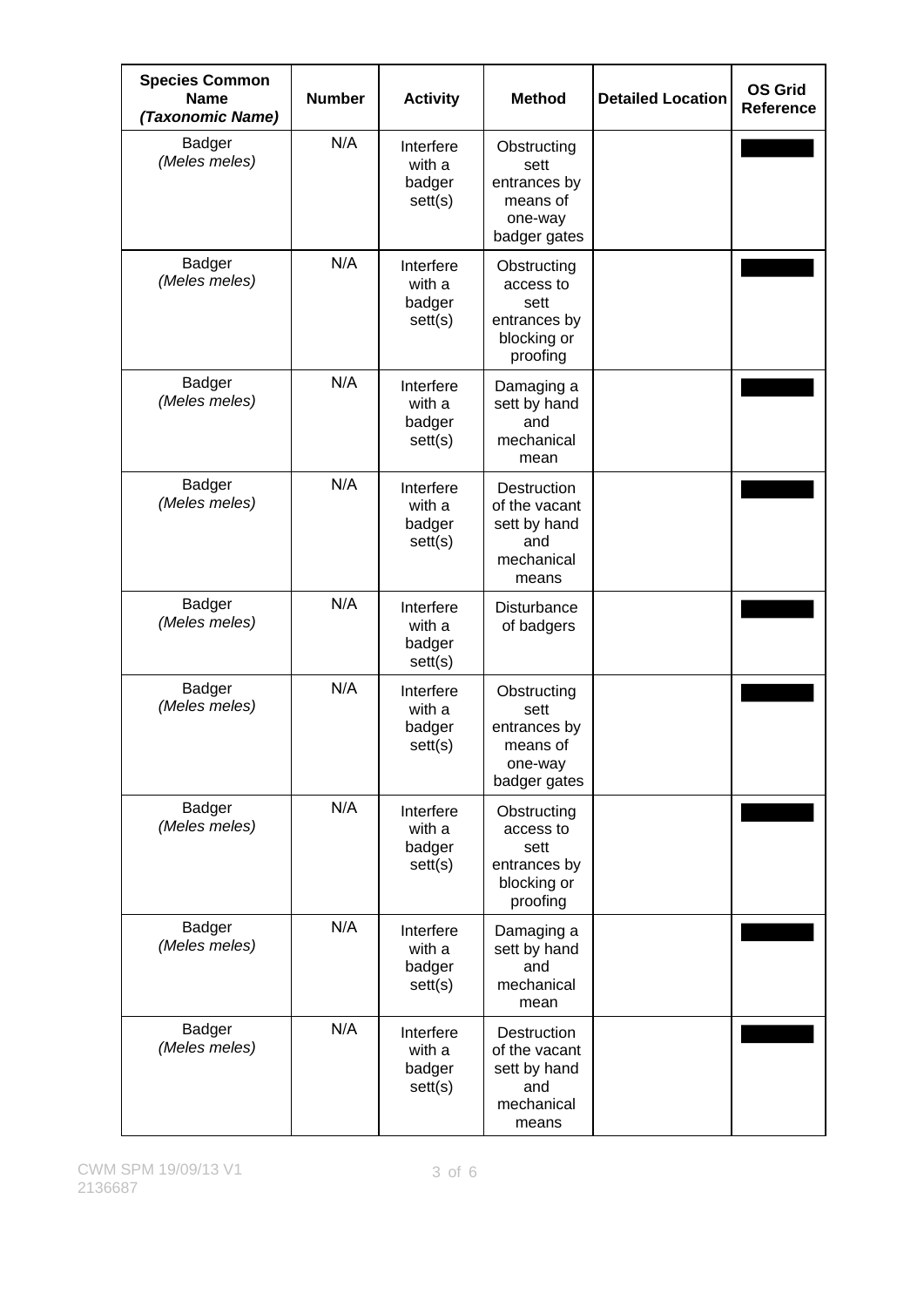| <b>Species Common</b><br><b>Name</b><br>(Taxonomic Name) | <b>Number</b> | <b>Activity</b>                          | <b>Method</b>                                                               | <b>Detailed Location</b> | <b>OS Grid</b><br><b>Reference</b> |
|----------------------------------------------------------|---------------|------------------------------------------|-----------------------------------------------------------------------------|--------------------------|------------------------------------|
| Badger<br>(Meles meles)                                  | N/A           | Interfere<br>with a<br>badger<br>set(s)  | Obstructing<br>sett<br>entrances by<br>means of<br>one-way<br>badger gates  |                          |                                    |
| <b>Badger</b><br>(Meles meles)                           | N/A           | Interfere<br>with a<br>badger<br>sett(s) | Obstructing<br>access to<br>sett<br>entrances by<br>blocking or<br>proofing |                          |                                    |
| Badger<br>(Meles meles)                                  | N/A           | Interfere<br>with a<br>badger<br>sett(s) | Damaging a<br>sett by hand<br>and<br>mechanical<br>mean                     |                          |                                    |
| Badger<br>(Meles meles)                                  | N/A           | Interfere<br>with a<br>badger<br>set(s)  | Destruction<br>of the vacant<br>sett by hand<br>and<br>mechanical<br>means  |                          |                                    |
| Badger<br>(Meles meles)                                  | N/A           | Interfere<br>with a<br>badger<br>sett(s) | Disturbance<br>of badgers                                                   |                          |                                    |
| Badger<br>(Meles meles)                                  | N/A           | Interfere<br>with a<br>badger<br>sett(s) | Obstructing<br>sett<br>entrances by<br>means of<br>one-way<br>badger gates  |                          |                                    |
| <b>Badger</b><br>(Meles meles)                           | N/A           | Interfere<br>with a<br>badger<br>set(s)  | Obstructing<br>access to<br>sett<br>entrances by<br>blocking or<br>proofing |                          |                                    |
| Badger<br>(Meles meles)                                  | N/A           | Interfere<br>with a<br>badger<br>set(s)  | Damaging a<br>sett by hand<br>and<br>mechanical<br>mean                     |                          |                                    |
| Badger<br>(Meles meles)                                  | N/A           | Interfere<br>with a<br>badger<br>sett(s) | Destruction<br>of the vacant<br>sett by hand<br>and<br>mechanical<br>means  |                          |                                    |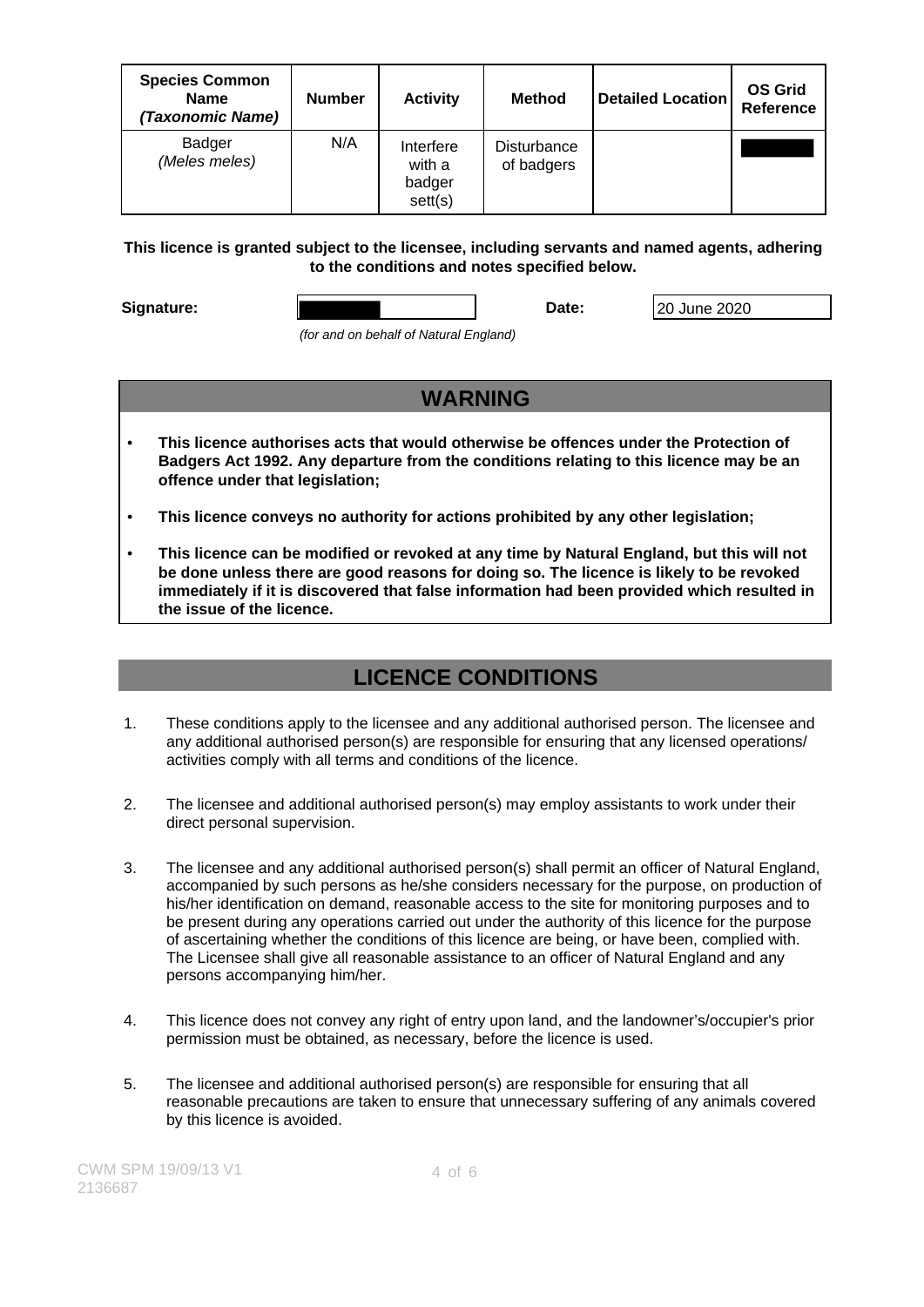| <b>Species Common</b><br><b>Name</b><br>(Taxonomic Name) | <b>Number</b> | <b>Activity</b>                         | <b>Method</b>             | <b>Detailed Location</b> | <b>OS Grid</b><br><b>Reference</b> |
|----------------------------------------------------------|---------------|-----------------------------------------|---------------------------|--------------------------|------------------------------------|
| Badger<br>(Meles meles)                                  | N/A           | Interfere<br>with a<br>badger<br>set(s) | Disturbance<br>of badgers |                          |                                    |

### **This licence is granted subject to the licensee, including servants and named agents, adhering to the conditions and notes specified below.**

**Signature: Date:** 20 June 2020

(for and on behalf of Natural England)

- **WARNING**
- **This licence authorises acts that would otherwise be offences under the Protection of Badgers Act 1992. Any departure from the conditions relating to this licence may be an offence under that legislation;**
- **This licence conveys no authority for actions prohibited by any other legislation;**
- **This licence can be modified or revoked at any time by Natural England, but this will not be done unless there are good reasons for doing so. The licence is likely to be revoked immediately if it is discovered that false information had been provided which resulted in the issue of the licence.**

# **LICENCE CONDITIONS**

- 1. These conditions apply to the licensee and any additional authorised person. The licensee and any additional authorised person(s) are responsible for ensuring that any licensed operations/ activities comply with all terms and conditions of the licence.
- 2. The licensee and additional authorised person(s) may employ assistants to work under their direct personal supervision.
- 3. The licensee and any additional authorised person(s) shall permit an officer of Natural England, accompanied by such persons as he/she considers necessary for the purpose, on production of his/her identification on demand, reasonable access to the site for monitoring purposes and to be present during any operations carried out under the authority of this licence for the purpose of ascertaining whether the conditions of this licence are being, or have been, complied with. The Licensee shall give all reasonable assistance to an officer of Natural England and any persons accompanying him/her.
- 4. This licence does not convey any right of entry upon land, and the landowner's/occupier's prior permission must be obtained, as necessary, before the licence is used.
- 5. The licensee and additional authorised person(s) are responsible for ensuring that all reasonable precautions are taken to ensure that unnecessary suffering of any animals covered by this licence is avoided.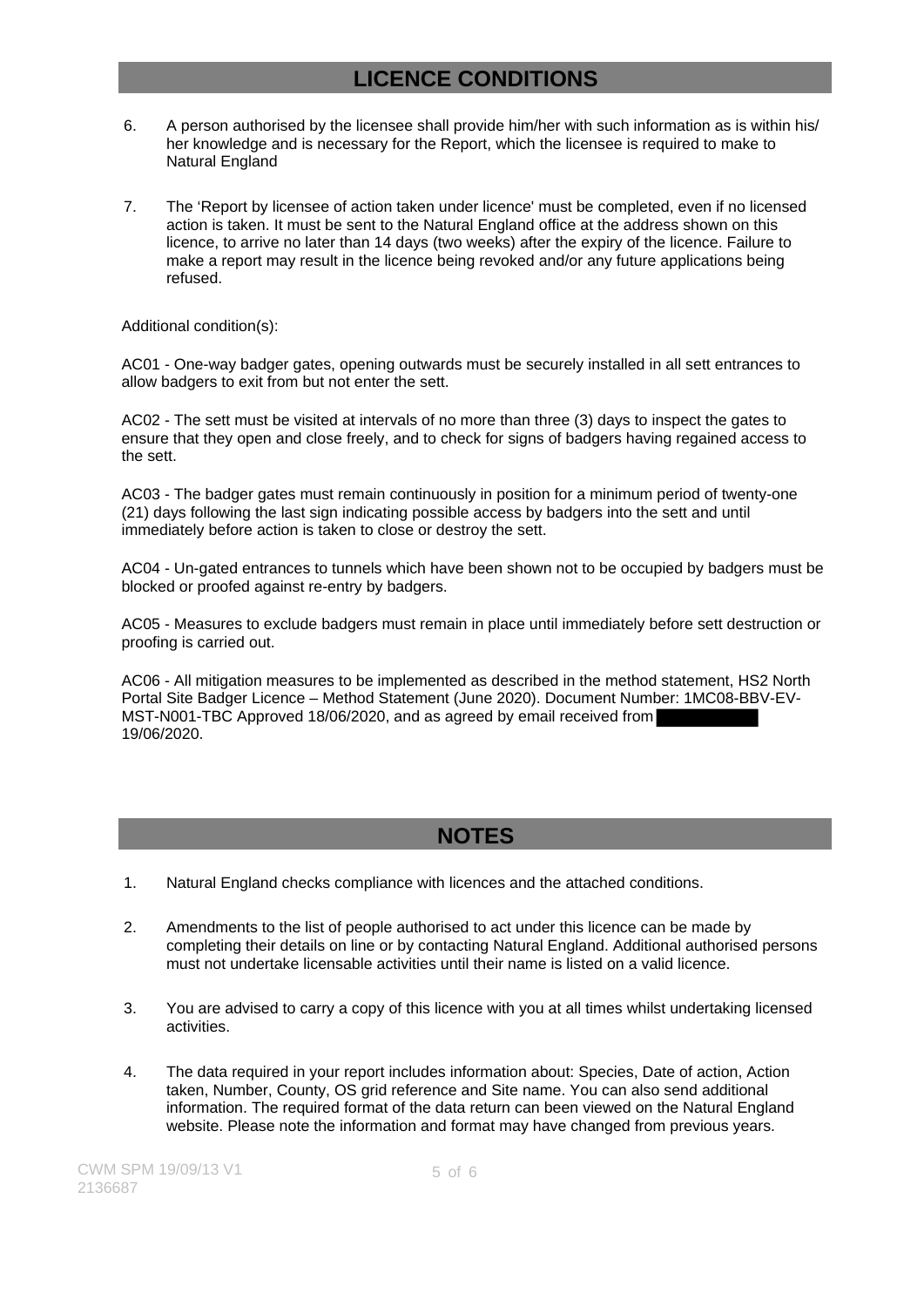## **LICENCE CONDITIONS**

- 6. A person authorised by the licensee shall provide him/her with such information as is within his/ her knowledge and is necessary for the Report, which the licensee is required to make to Natural England
- 7. The 'Report by licensee of action taken under licence' must be completed, even if no licensed action is taken. It must be sent to the Natural England office at the address shown on this licence, to arrive no later than 14 days (two weeks) after the expiry of the licence. Failure to make a report may result in the licence being revoked and/or any future applications being refused.

Additional condition(s):

AC01 - One-way badger gates, opening outwards must be securely installed in all sett entrances to allow badgers to exit from but not enter the sett.

AC02 - The sett must be visited at intervals of no more than three (3) days to inspect the gates to ensure that they open and close freely, and to check for signs of badgers having regained access to the sett.

AC03 - The badger gates must remain continuously in position for a minimum period of twenty-one (21) days following the last sign indicating possible access by badgers into the sett and until immediately before action is taken to close or destroy the sett.

AC04 - Un-gated entrances to tunnels which have been shown not to be occupied by badgers must be blocked or proofed against re-entry by badgers.

AC05 - Measures to exclude badgers must remain in place until immediately before sett destruction or proofing is carried out.

AC06 - All mitigation measures to be implemented as described in the method statement, HS2 North Portal Site Badger Licence – Method Statement (June 2020). Document Number: 1MC08-BBV-EV-MST-N001-TBC Approved 18/06/2020, and as agreed by email received from 19/06/2020.

## **NOTES**

- 1. Natural England checks compliance with licences and the attached conditions.
- 2. Amendments to the list of people authorised to act under this licence can be made by completing their details on line or by contacting Natural England. Additional authorised persons must not undertake licensable activities until their name is listed on a valid licence.
- 3. You are advised to carry a copy of this licence with you at all times whilst undertaking licensed activities.
- 4. The data required in your report includes information about: Species, Date of action, Action taken, Number, County, OS grid reference and Site name. You can also send additional information. The required format of the data return can been viewed on the Natural England website. Please note the information and format may have changed from previous years.